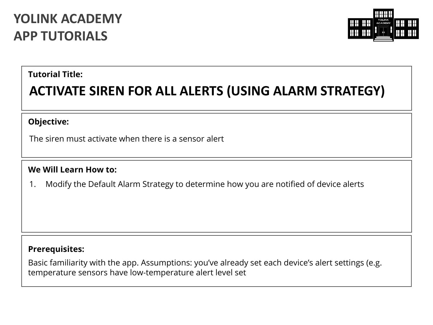# **YOLINK ACADEMY APP TUTORIALS**



### **Tutorial Title:**

# **ACTIVATE SIREN FOR ALL ALERTS (USING ALARM STRATEGY)**

#### **Objective:**

The siren must activate when there is a sensor alert

#### **We Will Learn How to:**

1. Modify the Default Alarm Strategy to determine how you are notified of device alerts

## **Prerequisites:**

Basic familiarity with the app. Assumptions: you've already set each device's alert settings (e.g. temperature sensors have low-temperature alert level set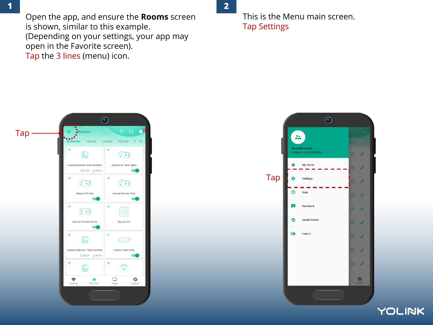Open the app, and ensure the **Rooms** screen is shown, similar to this example. (Depending on your settings, your app may open in the Favorite screen). Tap the 3 lines (menu) icon.

This is the Menu main screen. Tap Settings



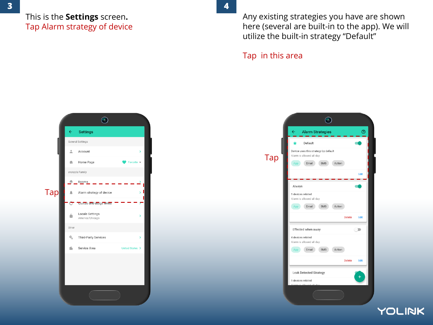### This is the **Settings** screen**.** Tap Alarm strategy of device

Any existing strategies you have are shown here (several are built-in to the app). We will utilize the built-in strategy "Default"

#### Tap in this area



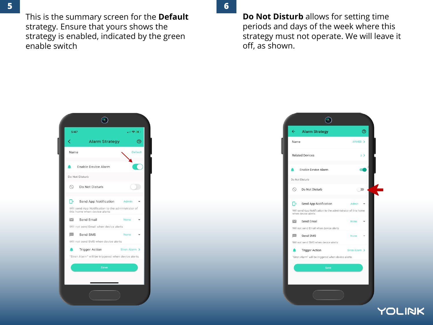This is the summary screen for the **Default** strategy. Ensure that yours shows the strategy is enabled, indicated by the green enable switch

**5 6**

**Do Not Disturb** allows for setting time periods and days of the week where this strategy must not operate. We will leave it off, as shown.





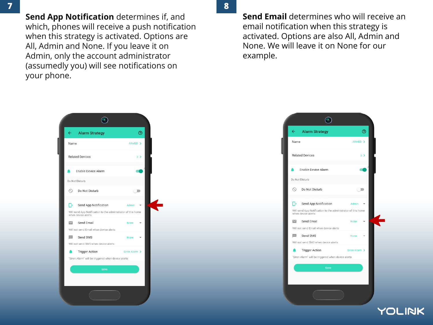**Send App Notification** determines if, and which, phones will receive a push notification when this strategy is activated. Options are All, Admin and None. If you leave it on Admin, only the account administrator (assumedly you) will see notifications on your phone.

**7 8**

**Send Email** determines who will receive an email notification when this strategy is activated. Options are also All, Admin and None. We will leave it on None for our example.



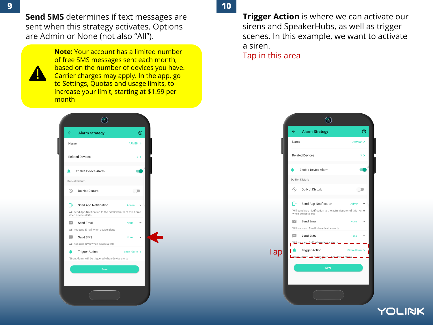**Send SMS** determines if text messages are sent when this strategy activates. Options are Admin or None (not also "All").



**Note:** Your account has a limited number<br> **Note:** Your account has a limited number<br>
Tap in this area of free SMS messages sent each month, based on the number of devices you have. Carrier charges may apply. In the app, go to Settings, Quotas and usage limits, to increase your limit, starting at \$1.99 per month



**Trigger Action** is where we can activate our sirens and SpeakerHubs, as well as trigger scenes. In this example, we want to activate a siren.

> $\odot$  $\circledcirc$  $\leftarrow$ **Alarm Strategy** Name ARMED > **Related Devices**  $3 \geq$ Enable Device Alarm ▲ œ Do Not Disturb Do Not Disturb  $\circ$  $\Box$ Πo Send App Notification Admin Will send App Notification to the administrator of this home when device alerts Send Email  $\overline{\phantom{0}}$ None Will not send Email when device alerts  $\cdots$ Send SMS  $\overline{\phantom{a}}$ **Tap Trigger Action** راعتهن سنلا he triggered when device als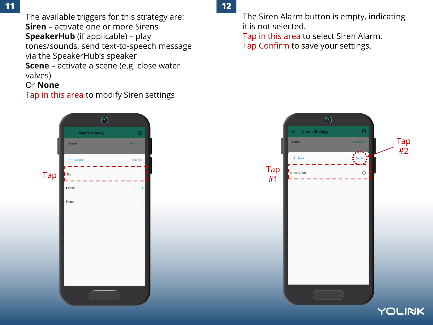The available triggers for this strategy are: **Siren** – activate one or more Sirens **SpeakerHub** (if applicable) – play tones/sounds, send text-to-speech message via the SpeakerHub's speaker

**Scene** – activate a scene (e.g. close water valves)

## Or **None**

Tap in this area to modify Siren settings

The Siren Alarm button is empty, indicating it is not selected.

Tap in this area to select Siren Alarm. Tap Confirm to save your settings.



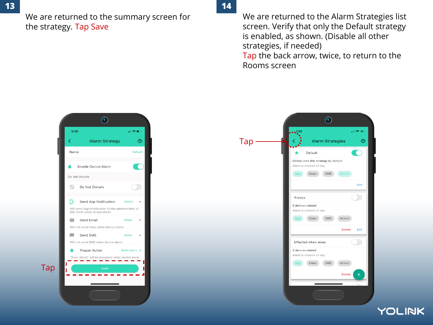We are returned to the summary screen for the strategy. Tap Save

**13 14**

We are returned to the Alarm Strategies list screen. Verify that only the Default strategy is enabled, as shown. (Disable all other strategies, if needed) Tap the back arrow, twice, to return to the Rooms screen



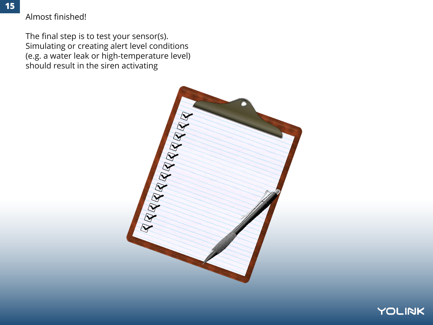### Almost finished!

The final step is to test your sensor(s). Simulating or creating alert level conditions (e.g. a water leak or high-temperature level) should result in the siren activating